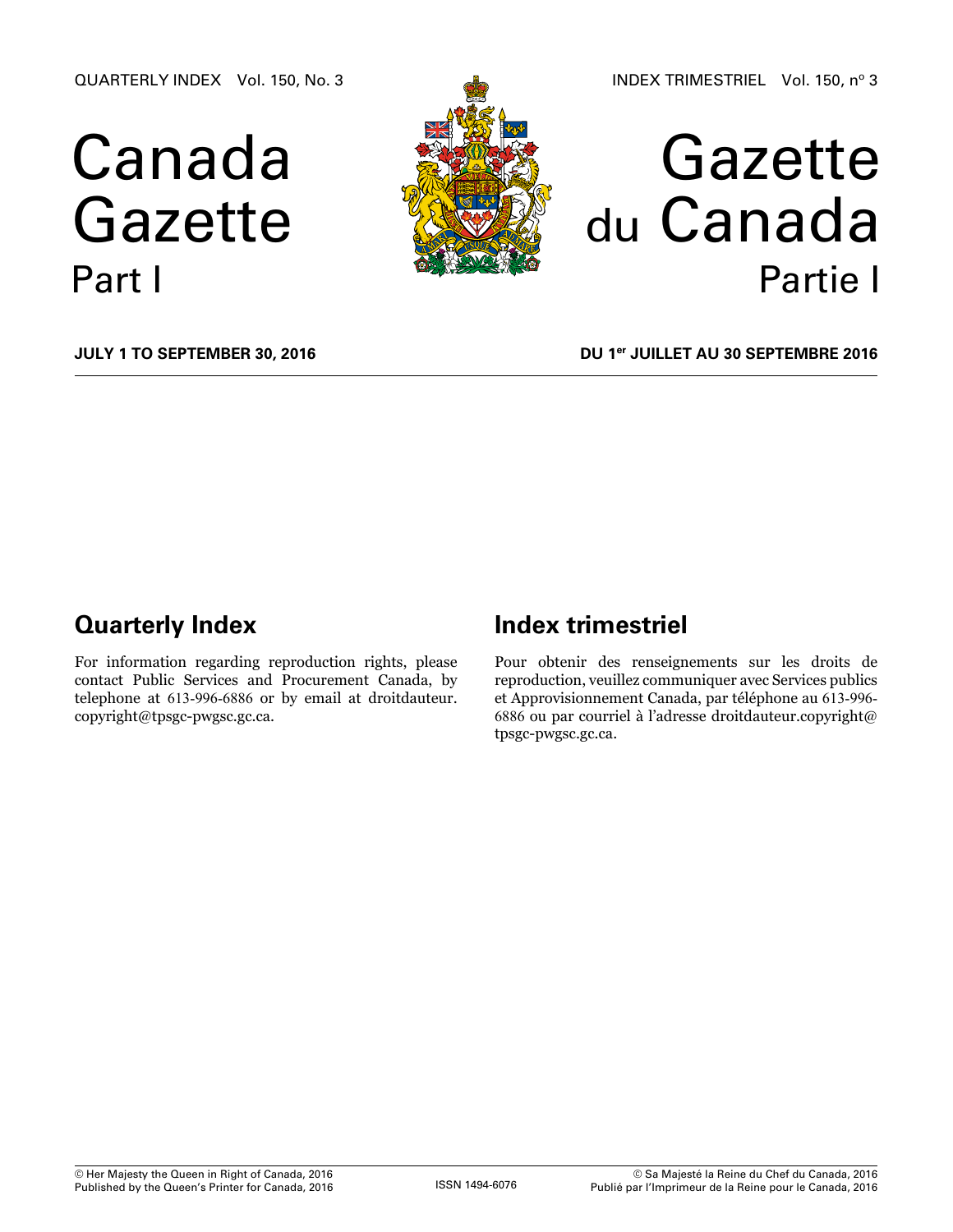QUARTERLY INDEX Vol. 150, No. 3

# Canada Gazette Part I





**July 1 to September 30, 2016**

**DU 1er juillet au 30 septembre 2016**

# **Quarterly Index**

For information regarding reproduction rights, please contact Public Services and Procurement Canada, by telephone at 613-996-6886 or by email at [droitdauteur.](mailto:droitdauteur.copyright%40tpsgc-pwgsc.gc.ca?subject=) [copyright@tpsgc-pwgsc.gc.ca.](mailto:droitdauteur.copyright%40tpsgc-pwgsc.gc.ca?subject=)

# **Index trimestriel**

Pour obtenir des renseignements sur les droits de reproduction, veuillez communiquer avec Services publics et Approvisionnement Canada, par téléphone au 613-996- 6886 ou par courriel à l'adresse [droitdauteur.copyright@](mailto:droitdauteur.copyright%40tpsgc-pwgsc.gc.ca?subject=) [tpsgc-pwgsc.gc.ca](mailto:droitdauteur.copyright%40tpsgc-pwgsc.gc.ca?subject=).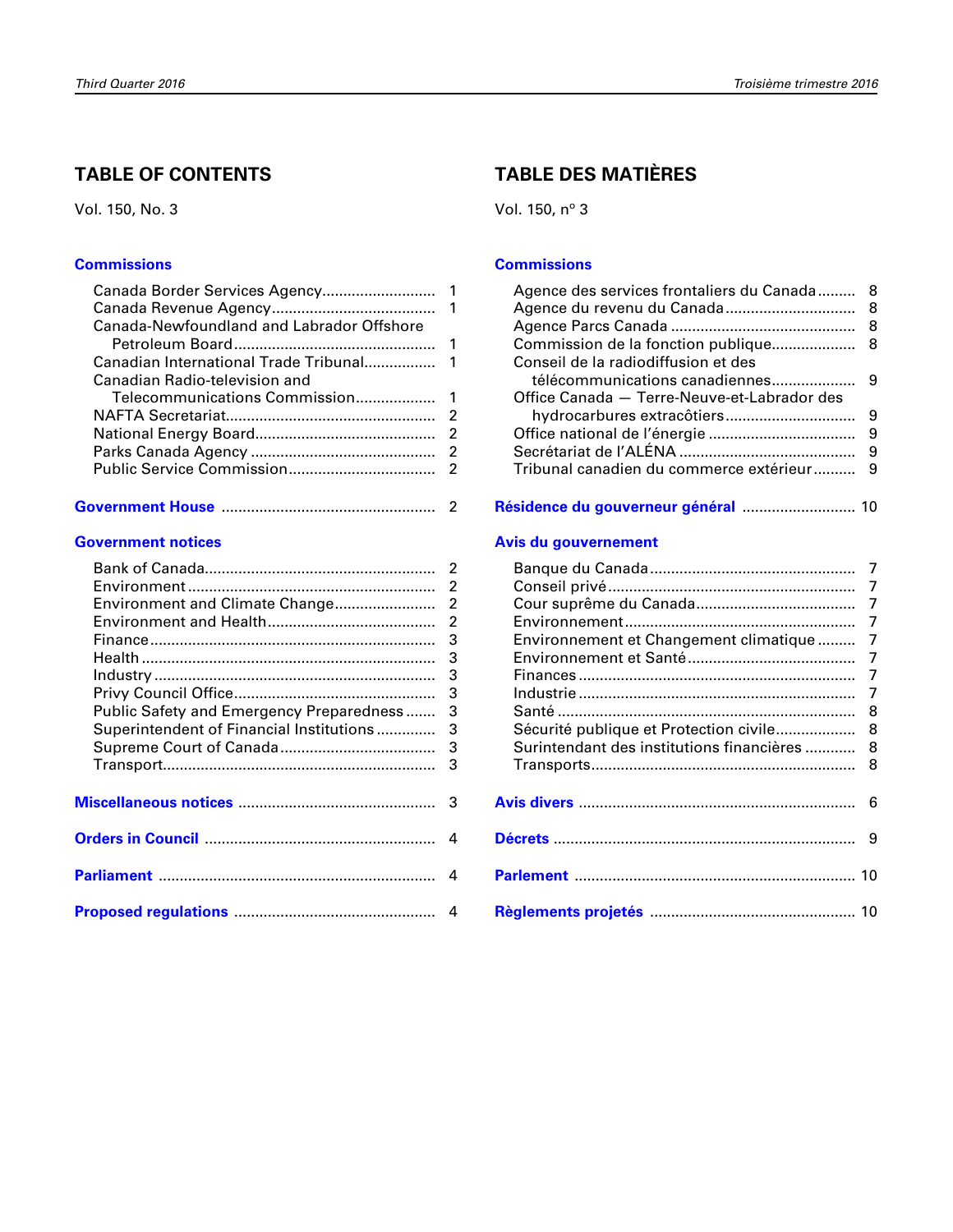# **TABLE OF CONTENTS**

Vol. 150, No. 3

#### **[Commissions](#page-2-0)**

| Canada-Newfoundland and Labrador Offshore |  |
|-------------------------------------------|--|
|                                           |  |
|                                           |  |
| Canadian Radio-television and             |  |
|                                           |  |
|                                           |  |
|                                           |  |
|                                           |  |
|                                           |  |
|                                           |  |

|--|--|--|

#### **[Government notices](#page-3-0)**

| $\mathfrak{p}$ |
|----------------|
| 2              |
| $\overline{2}$ |
| $\overline{2}$ |
| 3              |
| 3              |
| 3              |
| 3              |
| 3              |
| 3              |
| 3              |
| 3              |
|                |
|                |
|                |
| 4              |
|                |
| $\Delta$       |
|                |
|                |
|                |

# **TABLE DES MATIÈRES**

Vol. 150, nº 3

#### **[Commissions](#page-9-0)**

| Agence des services frontaliers du Canada 8 |   |
|---------------------------------------------|---|
|                                             |   |
|                                             |   |
|                                             |   |
| Conseil de la radiodiffusion et des         |   |
|                                             |   |
| Office Canada - Terre-Neuve-et-Labrador des |   |
|                                             |   |
|                                             |   |
|                                             | 9 |
| Tribunal canadien du commerce extérieur 9   |   |
|                                             |   |

**[résidence du gouverneur général](#page-11-0)** ........................... 10

#### **[avis du gouvernement](#page-8-0)**

| Environnement et Changement climatique  7    |  |
|----------------------------------------------|--|
|                                              |  |
|                                              |  |
|                                              |  |
|                                              |  |
| Sécurité publique et Protection civile 8     |  |
| Surintendant des institutions financières  8 |  |
|                                              |  |
|                                              |  |
|                                              |  |
|                                              |  |
|                                              |  |
|                                              |  |
|                                              |  |
|                                              |  |
|                                              |  |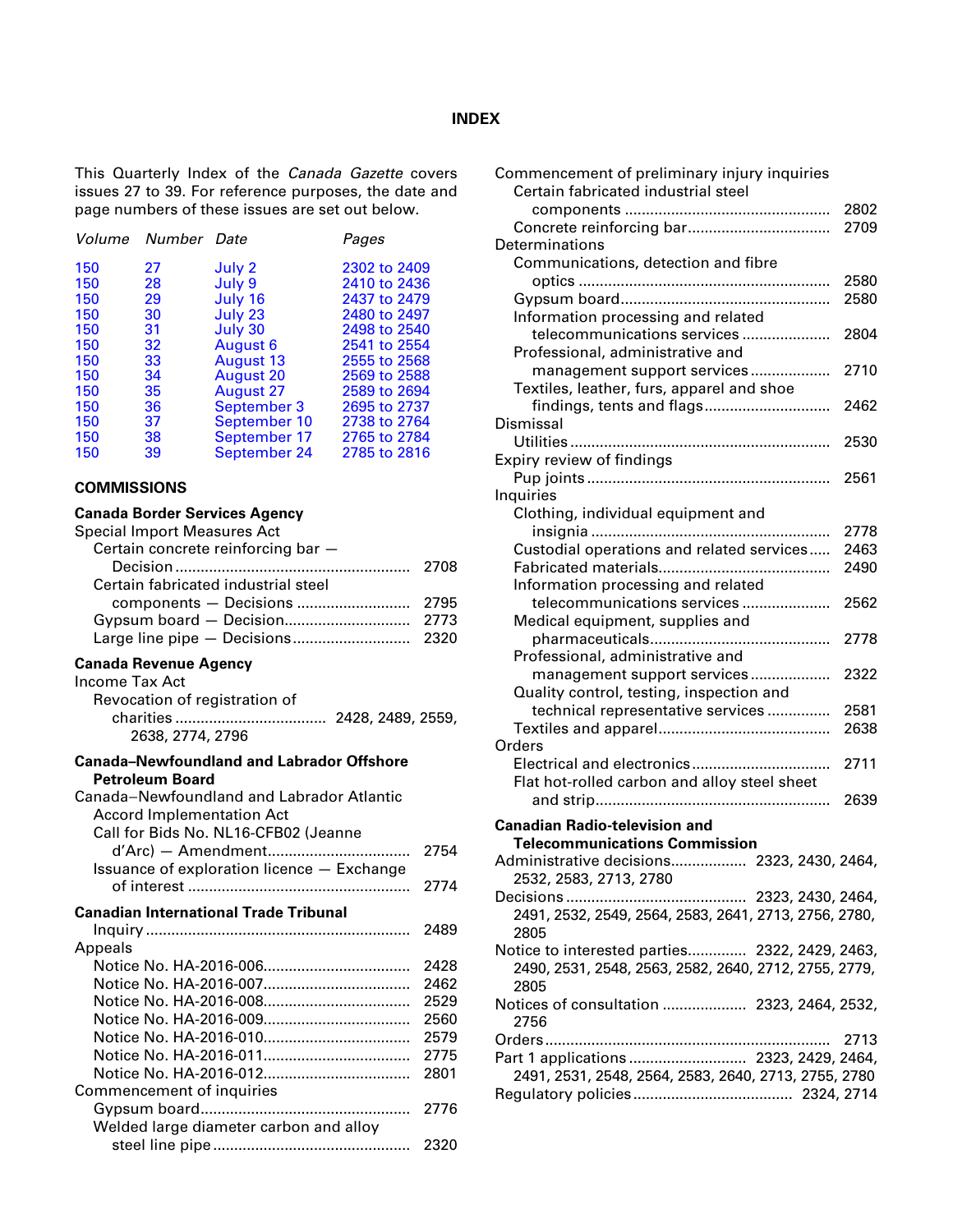#### **INDEX**

<span id="page-2-0"></span>This Quarterly Index of the *Canada Gazette* covers issues 27 to 39. For reference purposes, the date and page numbers of these issues are set out below.

|    |                  | Pages              |
|----|------------------|--------------------|
| 27 | July 2           | 2302 to 2409       |
| 28 | July 9           | 2410 to 2436       |
| 29 | July 16          | 2437 to 2479       |
| 30 | July 23          | 2480 to 2497       |
| 31 | July 30          | 2498 to 2540       |
| 32 | August 6         | 2541 to 2554       |
| 33 | August 13        | 2555 to 2568       |
| 34 | <b>August 20</b> | 2569 to 2588       |
| 35 | August 27        | 2589 to 2694       |
| 36 | September 3      | 2695 to 2737       |
| 37 | September 10     | 2738 to 2764       |
| 38 | September 17     | 2765 to 2784       |
| 39 | September 24     | 2785 to 2816       |
|    |                  | Volume Number Date |

#### **COMMISSIONS**

#### **Canada Border Services Agency**

| Special Import Measures Act                      |      |
|--------------------------------------------------|------|
| Certain concrete reinforcing bar -               |      |
|                                                  | 2708 |
| Certain fabricated industrial steel              |      |
| components - Decisions                           | 2795 |
|                                                  |      |
|                                                  |      |
| Canada Revenue Agency                            |      |
| Income Tax Act                                   |      |
| Revocation of registration of                    |      |
|                                                  |      |
| 2638, 2774, 2796                                 |      |
| <b>Canada-Newfoundland and Labrador Offshore</b> |      |
| <b>Petroleum Board</b>                           |      |
| Canada-Newfoundland and Labrador Atlantic        |      |
| <b>Accord Implementation Act</b>                 |      |
| Call for Bids No. NL16-CFB02 (Jeanne             |      |
|                                                  | 2754 |
| Issuance of exploration licence - Exchange       |      |
|                                                  | 2774 |
| <b>Canadian International Trade Tribunal</b>     |      |
|                                                  | 2489 |
| Appeals                                          |      |
|                                                  | 2428 |
|                                                  | 2462 |
|                                                  | 2529 |
|                                                  | 2560 |
|                                                  | 2579 |

Notice No. HA-2016-011................................... 2775 Notice No. HA-2016-012................................... 2801

Gypsum board.................................................. 2776

steel line pipe ............................................... 2320

Welded large diameter carbon and alloy

Commencement of inquiries

| Commencement of preliminary injury inquiries<br>Certain fabricated industrial steel |              |
|-------------------------------------------------------------------------------------|--------------|
|                                                                                     | 2802<br>2709 |
| Determinations                                                                      |              |
| Communications, detection and fibre                                                 |              |
|                                                                                     | 2580         |
|                                                                                     | 2580         |
| Information processing and related                                                  |              |
| telecommunications services                                                         | 2804         |
| Professional, administrative and                                                    |              |
| management support services                                                         | 2710         |
| Textiles, leather, furs, apparel and shoe                                           |              |
| findings, tents and flags                                                           | 2462         |
| Dismissal                                                                           |              |
|                                                                                     | 2530         |
| Expiry review of findings                                                           |              |
|                                                                                     | 2561         |
| Inquiries                                                                           |              |
| Clothing, individual equipment and                                                  |              |
|                                                                                     | 2778         |
| Custodial operations and related services                                           | 2463         |
|                                                                                     | 2490         |
| Information processing and related                                                  |              |
| telecommunications services                                                         | 2562         |
| Medical equipment, supplies and                                                     |              |
|                                                                                     | 2778         |
| Professional, administrative and                                                    |              |
| management support services                                                         | 2322         |
| Quality control, testing, inspection and                                            |              |
| technical representative services                                                   | 2581         |
|                                                                                     | 2638         |
| Orders                                                                              |              |
| Electrical and electronics                                                          | 2711         |
| Flat hot-rolled carbon and alloy steel sheet                                        |              |
|                                                                                     | 2639         |
| <b>Canadian Radio-television and</b>                                                |              |
| <b>Telecommunications Commission</b>                                                |              |
| Administrative decisions 2323, 2430, 2464,                                          |              |
| 2532, 2583, 2713, 2780                                                              |              |
| Decisions                                                                           |              |
| 2491, 2532, 2549, 2564, 2583, 2641, 2713, 2756, 2780,                               |              |
| 2805                                                                                |              |
| Notice to interested parties 2322, 2429, 2463,                                      |              |
| 2490, 2531, 2548, 2563, 2582, 2640, 2712, 2755, 2779,                               |              |
| 2805                                                                                |              |
| Notices of consultation  2323, 2464, 2532,<br>2756                                  |              |
|                                                                                     | 2713         |
|                                                                                     |              |
| 2491, 2531, 2548, 2564, 2583, 2640, 2713, 2755, 2780                                |              |
|                                                                                     |              |
|                                                                                     |              |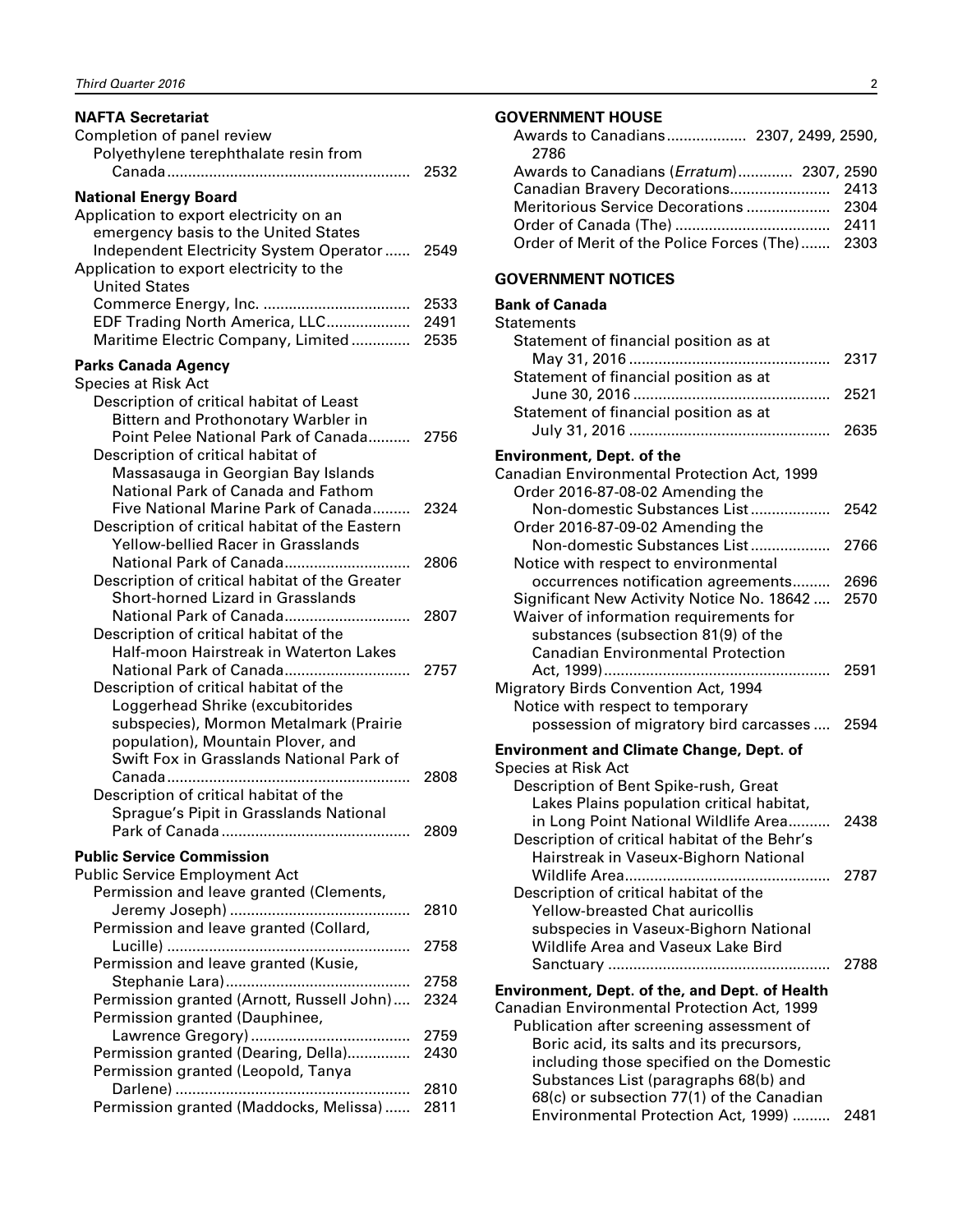<span id="page-3-0"></span>

| <b>NAFTA Secretariat</b>                                          |      |
|-------------------------------------------------------------------|------|
| Completion of panel review                                        |      |
| Polyethylene terephthalate resin from                             |      |
|                                                                   | 2532 |
| <b>National Energy Board</b>                                      |      |
| Application to export electricity on an                           |      |
| emergency basis to the United States                              |      |
| Independent Electricity System Operator                           | 2549 |
| Application to export electricity to the                          |      |
| <b>United States</b>                                              |      |
|                                                                   | 2533 |
| EDF Trading North America, LLC                                    | 2491 |
| Maritime Electric Company, Limited                                | 2535 |
| <b>Parks Canada Agency</b>                                        |      |
| <b>Species at Risk Act</b>                                        |      |
| Description of critical habitat of Least                          |      |
| Bittern and Prothonotary Warbler in                               |      |
| Point Pelee National Park of Canada                               | 2756 |
| Description of critical habitat of                                |      |
| Massasauga in Georgian Bay Islands                                |      |
| National Park of Canada and Fathom                                |      |
| Five National Marine Park of Canada                               | 2324 |
| Description of critical habitat of the Eastern                    |      |
| <b>Yellow-bellied Racer in Grasslands</b>                         |      |
| National Park of Canada                                           | 2806 |
| Description of critical habitat of the Greater                    |      |
| Short-horned Lizard in Grasslands                                 |      |
| National Park of Canada<br>Description of critical habitat of the | 2807 |
| Half-moon Hairstreak in Waterton Lakes                            |      |
| National Park of Canada                                           | 2757 |
| Description of critical habitat of the                            |      |
| Loggerhead Shrike (excubitorides                                  |      |
| subspecies), Mormon Metalmark (Prairie                            |      |
| population), Mountain Plover, and                                 |      |
| Swift Fox in Grasslands National Park of                          |      |
|                                                                   | 2808 |
| Description of critical habitat of the                            |      |
| Sprague's Pipit in Grasslands National                            |      |
|                                                                   | 2809 |
| <b>Public Service Commission</b>                                  |      |
| <b>Public Service Employment Act</b>                              |      |
| Permission and leave granted (Clements,                           |      |
|                                                                   | 2810 |
| Permission and leave granted (Collard,                            |      |
|                                                                   | 2758 |
| Permission and leave granted (Kusie,                              |      |
|                                                                   | 2758 |
| Permission granted (Arnott, Russell John)                         | 2324 |
| Permission granted (Dauphinee,                                    |      |
|                                                                   | 2759 |
| Permission granted (Dearing, Della)                               | 2430 |
| Permission granted (Leopold, Tanya                                |      |
|                                                                   | 2810 |
| Permission granted (Maddocks, Melissa)                            | 2811 |

#### **GOVERNMENT HOUSE**

| 2786                                              |  |
|---------------------------------------------------|--|
| Awards to Canadians ( <i>Erratum</i> ) 2307, 2590 |  |
|                                                   |  |
|                                                   |  |
|                                                   |  |
| Order of Merit of the Police Forces (The) 2303    |  |

#### **GOVERNMENT NOTICES**

#### **Bank of Canada Statements** Statement of financial position as at May 31, 2016 ................................................ 2317 Statement of financial position as at June 30, 2016 ............................................... 2521 Statement of financial position as at

| <b>Environment, Dept. of the</b>            |      |
|---------------------------------------------|------|
| Canadian Environmental Protection Act, 1999 |      |
| Order 2016-87-08-02 Amending the            |      |
| Non-domestic Substances List                | 2542 |
| Order 2016-87-09-02 Amending the            |      |
| Non-domestic Substances List                | 2766 |
| Notice with respect to environmental        |      |
| occurrences notification agreements         | 2696 |
| Significant New Activity Notice No. 18642   | 2570 |
| Waiver of information requirements for      |      |
| substances (subsection 81(9) of the         |      |
| <b>Canadian Environmental Protection</b>    |      |
|                                             | 2591 |
| Migratory Birds Convention Act, 1994        |      |
| Notice with respect to temporary            |      |
| possession of migratory bird carcasses      | 2594 |

July 31, 2016 ................................................ 2635

| .                                               |  |  |  |
|-------------------------------------------------|--|--|--|
| <b>Environment and Climate Change, Dept. of</b> |  |  |  |

| Species at Risk Act                                                               |      |
|-----------------------------------------------------------------------------------|------|
| Description of Bent Spike-rush, Great                                             |      |
| Lakes Plains population critical habitat,<br>in Long Point National Wildlife Area | 2438 |
| Description of critical habitat of the Behr's                                     |      |
| Hairstreak in Vaseux-Bighorn National                                             |      |
|                                                                                   | 2787 |
| Description of critical habitat of the                                            |      |
| <b>Yellow-breasted Chat auricollis</b>                                            |      |
| subspecies in Vaseux-Bighorn National                                             |      |
| Wildlife Area and Vaseux Lake Bird                                                |      |
|                                                                                   | 2788 |
| Environment, Dept. of the, and Dept. of Health                                    |      |
| Canadian Environmental Protection Act, 1999                                       |      |
| Publication after screening assessment of                                         |      |

| Publication after screening assessment of |  |
|-------------------------------------------|--|
| Boric acid, its salts and its precursors, |  |
| including those specified on the Domestic |  |
| Substances List (paragraphs 68(b) and     |  |
| 68(c) or subsection 77(1) of the Canadian |  |
| Environmental Protection Act, 1999)  2481 |  |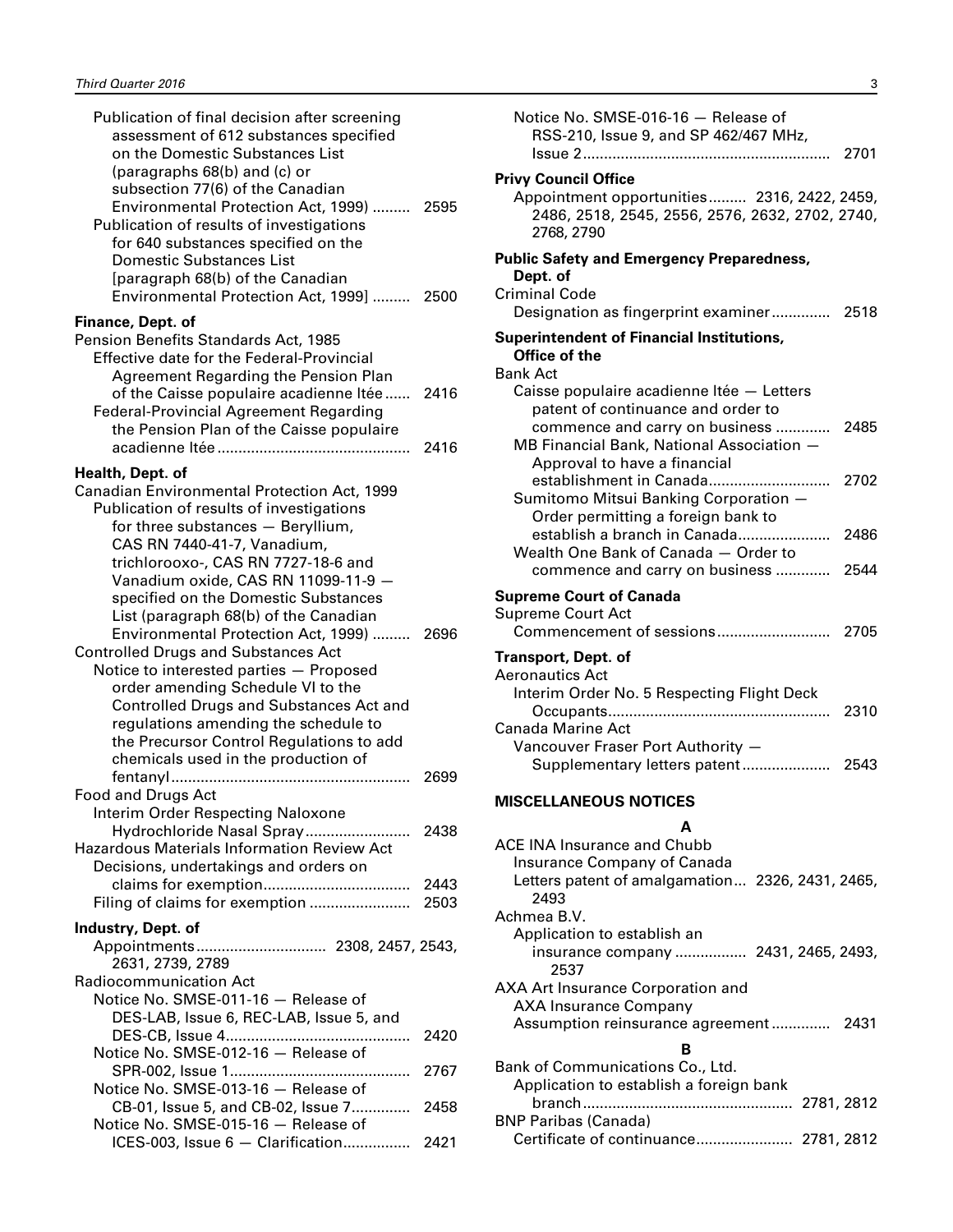<span id="page-4-0"></span>

| Publication of final decision after screening<br>assessment of 612 substances specified<br>on the Domestic Substances List<br>(paragraphs 68(b) and (c) or                                                                                                                                                                                           |      |
|------------------------------------------------------------------------------------------------------------------------------------------------------------------------------------------------------------------------------------------------------------------------------------------------------------------------------------------------------|------|
| subsection 77(6) of the Canadian<br>Environmental Protection Act, 1999)  2595<br>Publication of results of investigations<br>for 640 substances specified on the<br>Domestic Substances List<br>[paragraph 68(b) of the Canadian                                                                                                                     |      |
| Environmental Protection Act, 1999]  2500<br>Finance, Dept. of                                                                                                                                                                                                                                                                                       |      |
| Pension Benefits Standards Act, 1985<br><b>Effective date for the Federal-Provincial</b><br>Agreement Regarding the Pension Plan<br>of the Caisse populaire acadienne Itée<br><b>Federal-Provincial Agreement Regarding</b>                                                                                                                          | 2416 |
| the Pension Plan of the Caisse populaire                                                                                                                                                                                                                                                                                                             | 2416 |
| Health, Dept. of                                                                                                                                                                                                                                                                                                                                     |      |
| Canadian Environmental Protection Act, 1999<br>Publication of results of investigations<br>for three substances - Beryllium,<br>CAS RN 7440-41-7, Vanadium,<br>trichlorooxo-, CAS RN 7727-18-6 and<br>Vanadium oxide, CAS RN 11099-11-9 -<br>specified on the Domestic Substances<br>List (paragraph 68(b) of the Canadian                           |      |
| Environmental Protection Act, 1999)  2696<br><b>Controlled Drugs and Substances Act</b><br>Notice to interested parties - Proposed<br>order amending Schedule VI to the<br><b>Controlled Drugs and Substances Act and</b><br>regulations amending the schedule to<br>the Precursor Control Regulations to add<br>chemicals used in the production of |      |
| <b>Food and Drugs Act</b>                                                                                                                                                                                                                                                                                                                            | 2699 |
| Interim Order Respecting Naloxone<br><b>Hazardous Materials Information Review Act</b>                                                                                                                                                                                                                                                               |      |
| Decisions, undertakings and orders on                                                                                                                                                                                                                                                                                                                | 2443 |
| Filing of claims for exemption                                                                                                                                                                                                                                                                                                                       | 2503 |
| Industry, Dept. of<br>Appointments 2308, 2457, 2543,                                                                                                                                                                                                                                                                                                 |      |
| 2631, 2739, 2789<br><b>Radiocommunication Act</b><br>Notice No. SMSE-011-16 - Release of<br>DES-LAB, Issue 6, REC-LAB, Issue 5, and                                                                                                                                                                                                                  |      |
|                                                                                                                                                                                                                                                                                                                                                      | 2420 |
| Notice No. SMSE-012-16 - Release of                                                                                                                                                                                                                                                                                                                  | 2767 |
| Notice No. SMSE-013-16 - Release of<br>CB-01, Issue 5, and CB-02, Issue 7<br>Notice No. SMSE-015-16 - Release of                                                                                                                                                                                                                                     | 2458 |
| ICES-003, Issue 6 - Clarification 2421                                                                                                                                                                                                                                                                                                               |      |

| Notice No. SMSE-016-16 - Release of<br>RSS-210, Issue 9, and SP 462/467 MHz,                                                                      |              |
|---------------------------------------------------------------------------------------------------------------------------------------------------|--------------|
| <b>Privy Council Office</b><br>Appointment opportunities 2316, 2422, 2459,<br>2486, 2518, 2545, 2556, 2576, 2632, 2702, 2740,<br>2768, 2790       |              |
| <b>Public Safety and Emergency Preparedness,</b><br>Dept. of<br><b>Criminal Code</b><br>Designation as fingerprint examiner 2518                  |              |
| <b>Superintendent of Financial Institutions,</b><br>Office of the<br><b>Bank Act</b><br>Caisse populaire acadienne Itée - Letters                 |              |
| patent of continuance and order to<br>commence and carry on business<br>MB Financial Bank, National Association -<br>Approval to have a financial | 2485         |
| establishment in Canada<br>Sumitomo Mitsui Banking Corporation -<br>Order permitting a foreign bank to                                            | 2702         |
| establish a branch in Canada<br>Wealth One Bank of Canada - Order to<br>commence and carry on business                                            | 2486<br>2544 |
| <b>Supreme Court of Canada</b><br><b>Supreme Court Act</b>                                                                                        | 2705         |
| Transport, Dept. of<br><b>Aeronautics Act</b><br>Interim Order No. 5 Respecting Flight Deck                                                       |              |
| <b>Canada Marine Act</b><br>Vancouver Fraser Port Authority -                                                                                     | 2310<br>2543 |
| Supplementary letters patent<br><b>MISCELLANEOUS NOTICES</b>                                                                                      |              |
| A<br><b>ACE INA Insurance and Chubb</b><br>Insurance Company of Canada<br>Letters patent of amalgamation 2326, 2431, 2465,<br>2493<br>Achmea B.V. |              |
| Application to establish an<br>insurance company  2431, 2465, 2493,<br>2537                                                                       |              |

AXA Art Insurance Corporation and AXA Insurance Company

Bank of Communications Co., Ltd.

BNP Paribas (Canada)

Application to establish a foreign bank

Assumption reinsurance agreement.............. 2431 **B**

branch.................................................. 2781, 2812

Certificate of continuance....................... 2781, 2812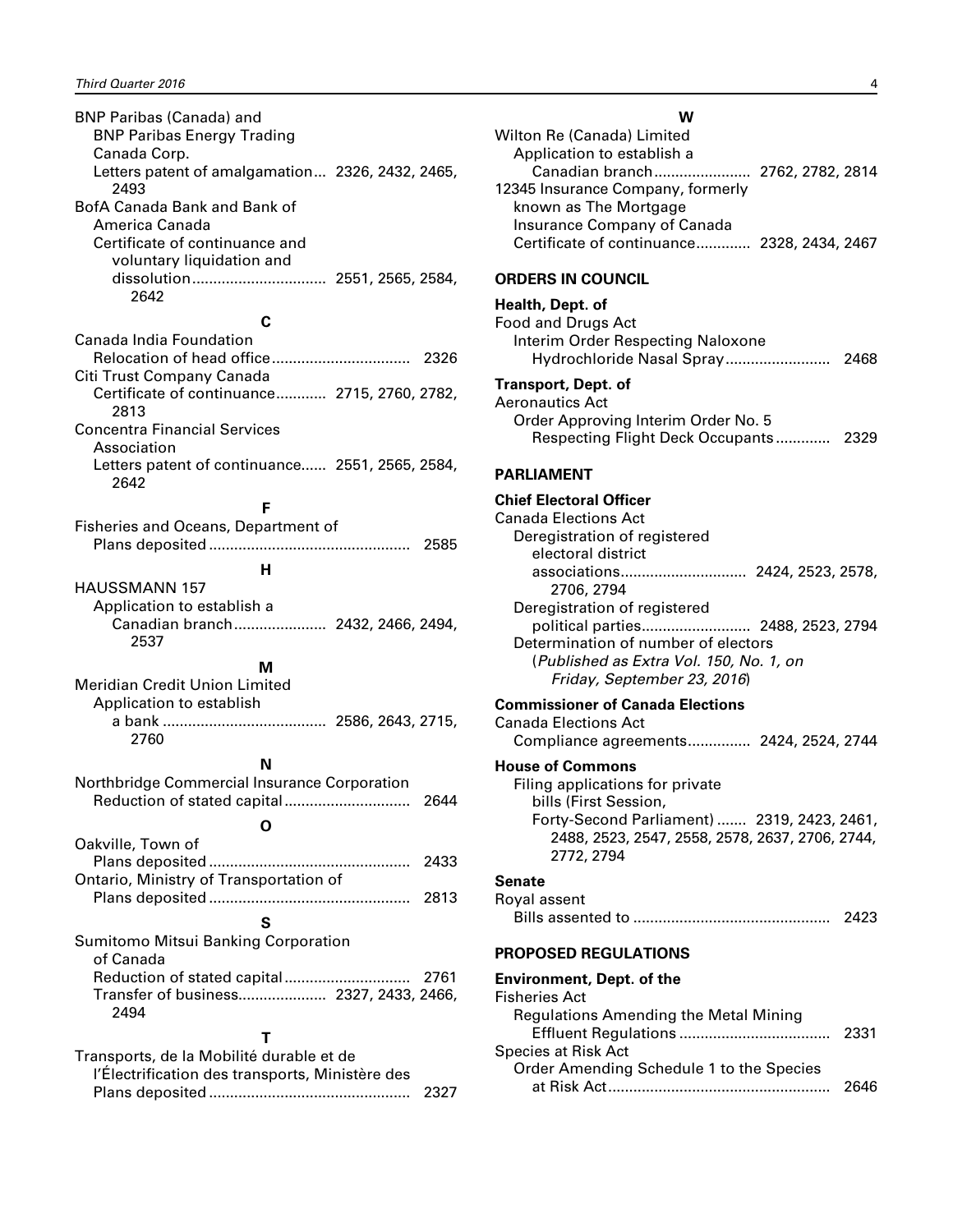<span id="page-5-0"></span>BNP Paribas (Canada) and BNP Paribas Energy Trading Canada Corp. Letters patent of amalgamation... 2326, 2432, 2465, 2493 BofA Canada Bank and Bank of America Canada Certificate of continuance and voluntary liquidation and dissolution................................ 2551, 2565, 2584, 2642

#### **C**

Canada India Foundation Relocation of head office................................. 2326 Citi Trust Company Canada Certificate of continuance............ 2715, 2760, 2782, 2813 Concentra Financial Services Association Letters patent of continuance...... 2551, 2565, 2584, 2642

#### **F**

Fisheries and Oceans, Department of Plans deposited ................................................ 2585 **H**

HAUSSMANN 157 Application to establish a Canadian branch...................... 2432, 2466, 2494, 2537

#### **M**

- Meridian Credit Union Limited Application to establish
- a bank ....................................... 2586, 2643, 2715, 2760

## **N**

| Northbridge Commercial Insurance Corporation   | 2644 |
|------------------------------------------------|------|
|                                                |      |
| Oakville, Town of                              |      |
|                                                | 2433 |
| Ontario, Ministry of Transportation of         |      |
|                                                | 2813 |
| s                                              |      |
| Sumitomo Mitsui Banking Corporation            |      |
| of Canada                                      |      |
| Reduction of stated capital                    | 2761 |
| Transfer of business 2327, 2433, 2466,<br>2494 |      |
|                                                |      |

| Transports, de la Mobilité durable et de        |  |
|-------------------------------------------------|--|
| l'Électrification des transports, Ministère des |  |
|                                                 |  |

| w                                                                                                                                                                                                                                        |
|------------------------------------------------------------------------------------------------------------------------------------------------------------------------------------------------------------------------------------------|
| Wilton Re (Canada) Limited<br>Application to establish a<br>Canadian branch 2762, 2782, 2814<br>12345 Insurance Company, formerly<br>known as The Mortgage<br>Insurance Company of Canada<br>Certificate of continuance 2328, 2434, 2467 |
| <b>ORDERS IN COUNCIL</b>                                                                                                                                                                                                                 |
| Health, Dept. of<br>Food and Drugs Act<br>Interim Order Respecting Naloxone                                                                                                                                                              |
| Transport, Dept. of<br><b>Aeronautics Act</b><br>Order Approving Interim Order No. 5<br>Respecting Flight Deck Occupants 2329                                                                                                            |
| <b>PARLIAMENT</b>                                                                                                                                                                                                                        |
| <b>Chief Electoral Officer</b><br><b>Canada Elections Act</b><br>Deregistration of registered<br>electoral district<br>associations 2424, 2523, 2578,<br>2706, 2794<br>Deregistration of registered                                      |
| political parties 2488, 2523, 2794<br>Determination of number of electors<br>(Published as Extra Vol. 150, No. 1, on<br>Friday, September 23, 2016)                                                                                      |
| <b>Commissioner of Canada Elections</b><br><b>Canada Elections Act</b><br>Compliance agreements 2424, 2524, 2744                                                                                                                         |
| <b>House of Commons</b><br>Filing applications for private<br>bills (First Session,<br>Forty-Second Parliament)  2319, 2423, 2461,<br>2488, 2523, 2547, 2558, 2578, 2637, 2706, 2744,<br>2772, 2794                                      |
| <b>Senate</b><br>Royal assent<br>2423                                                                                                                                                                                                    |
| <b>PROPOSED REGULATIONS</b>                                                                                                                                                                                                              |
| <b>Environment, Dept. of the</b><br><b>Fisheries Act</b><br><b>Regulations Amending the Metal Mining</b><br>2331<br><b>Species at Risk Act</b>                                                                                           |
| Order Amending Schedule 1 to the Species                                                                                                                                                                                                 |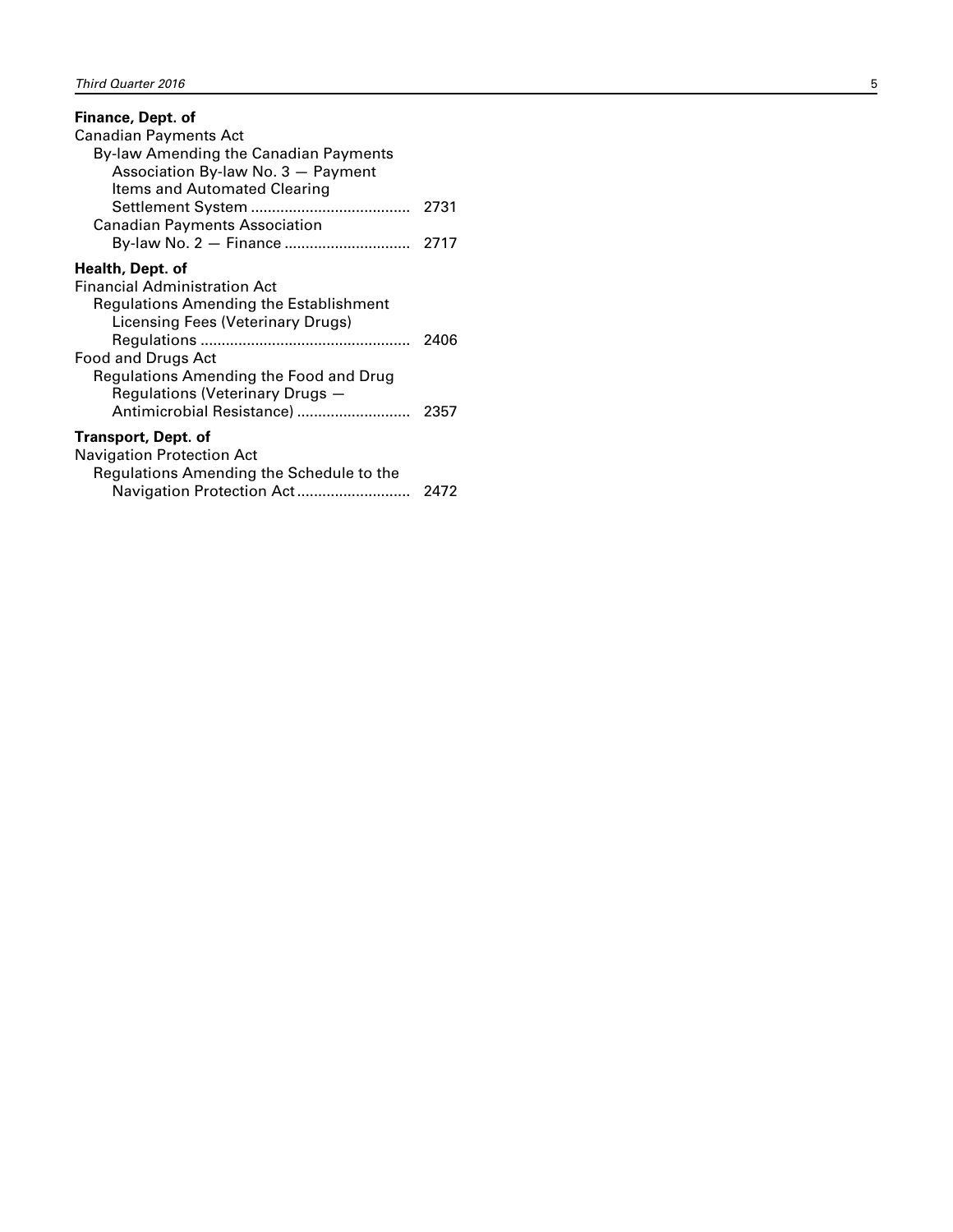| Finance, Dept. of                        |      |
|------------------------------------------|------|
| Canadian Payments Act                    |      |
| By-law Amending the Canadian Payments    |      |
| Association By-law No. 3 - Payment       |      |
| ltems and Automated Clearing             |      |
|                                          | 2731 |
| <b>Canadian Payments Association</b>     |      |
|                                          |      |
| Health, Dept. of                         |      |
| <b>Financial Administration Act</b>      |      |
| Regulations Amending the Establishment   |      |
| Licensing Fees (Veterinary Drugs)        |      |
|                                          | 2406 |
| Food and Drugs Act                       |      |
| Regulations Amending the Food and Drug   |      |
| Regulations (Veterinary Drugs -          |      |
| Antimicrobial Resistance)                | 2357 |
| Transport, Dept. of                      |      |
| <b>Navigation Protection Act</b>         |      |
| Regulations Amending the Schedule to the |      |
| Navigation Protection Act                | 2472 |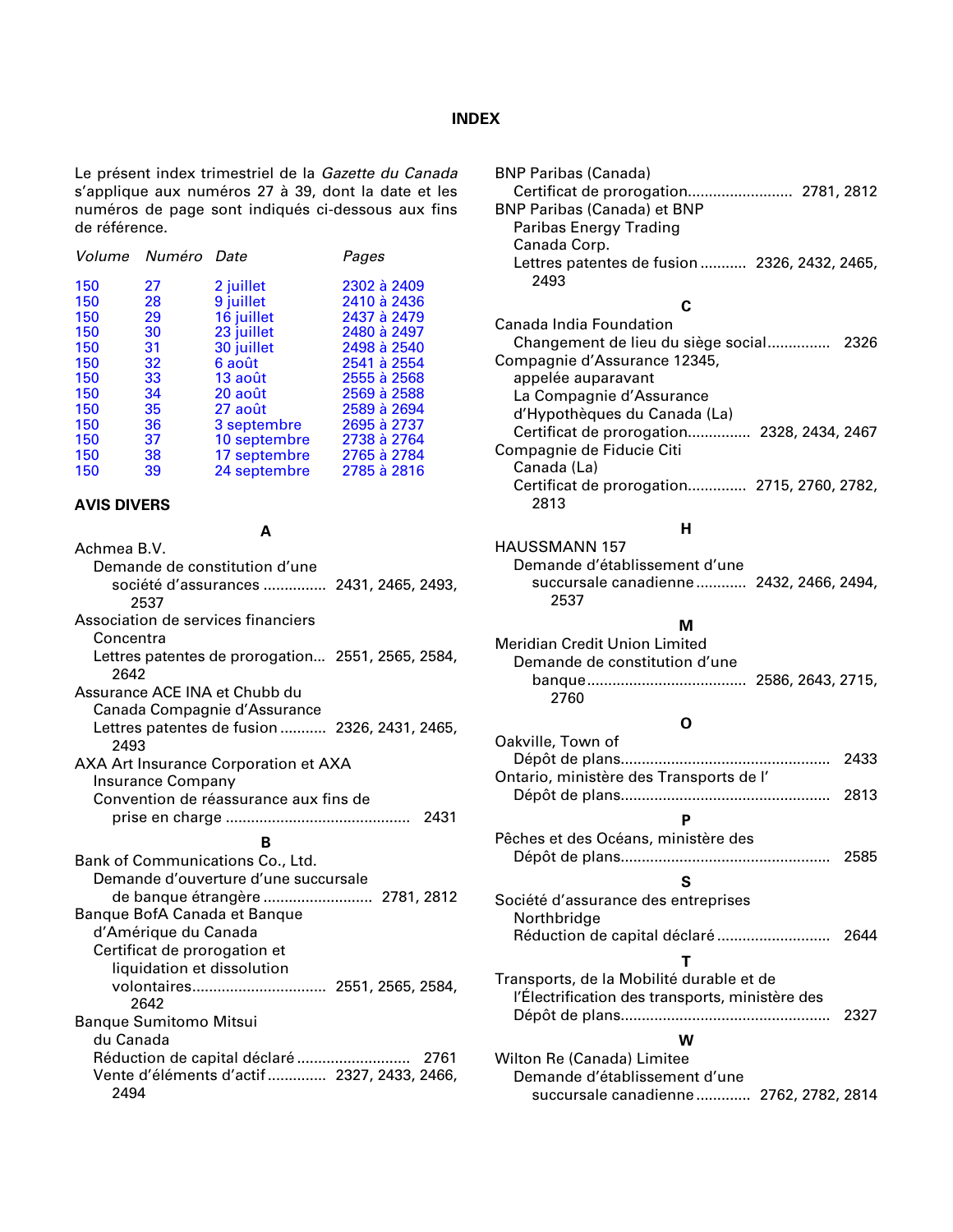#### **INDEX**

<span id="page-7-0"></span>Le présent index trimestriel de la *Gazette du Canada* s'applique aux numéros 27 à 39, dont la date et les numéros de page sont indiqués ci-dessous aux fins de référence.

|     | Volume Numéro Date |              | Pages       |
|-----|--------------------|--------------|-------------|
| 150 | 27                 | 2 juillet    | 2302 à 2409 |
| 150 | 28                 | 9 juillet    | 2410 à 2436 |
| 150 | 29                 | 16 juillet   | 2437 à 2479 |
| 150 | 30                 | 23 juillet   | 2480 à 2497 |
| 150 | 31                 | 30 juillet   | 2498 à 2540 |
| 150 | 32                 | 6 août       | 2541 à 2554 |
| 150 | 33                 | 13 août      | 2555 à 2568 |
| 150 | 34                 | 20 août      | 2569 à 2588 |
| 150 | 35                 | 27 août      | 2589 à 2694 |
| 150 | 36                 | 3 septembre  | 2695 à 2737 |
| 150 | 37                 | 10 septembre | 2738 à 2764 |
| 150 | 38                 | 17 septembre | 2765 à 2784 |
| 150 | 39                 | 24 septembre | 2785 à 2816 |

#### **AVIS DIVERS**

**A**

Achmea B.V. Demande de constitution d'une société d'assurances ............... 2431, 2465, 2493, 2537 Association de services financiers Concentra Lettres patentes de prorogation... 2551, 2565, 2584, 2642 Assurance ACE INA et Chubb du Canada Compagnie d'Assurance Lettres patentes de fusion ........... 2326, 2431, 2465, 2493 AXA Art Insurance Corporation et AXA Insurance Company Convention de réassurance aux fins de prise en charge ............................................ 2431 **B** Bank of Communications Co., Ltd. Demande d'ouverture d'une succursale de banque étrangère .......................... 2781, 2812 Banque BofA Canada et Banque d'Amérique du Canada Certificat de prorogation et liquidation et dissolution volontaires................................ 2551, 2565, 2584, 2642 Banque Sumitomo Mitsui du Canada Réduction de capital déclaré ........................... 2761 Vente d'éléments d'actif.............. 2327, 2433, 2466, 2494

| <b>BNP Paribas (Canada)</b><br>Certificat de prorogation 2781, 2812<br><b>BNP Paribas (Canada) et BNP</b> |      |
|-----------------------------------------------------------------------------------------------------------|------|
| Paribas Energy Trading                                                                                    |      |
| Canada Corp.                                                                                              |      |
| Lettres patentes de fusion  2326, 2432, 2465,                                                             |      |
| 2493                                                                                                      |      |
| С                                                                                                         |      |
| Canada India Foundation                                                                                   |      |
| Changement de lieu du siège social 2326                                                                   |      |
| Compagnie d'Assurance 12345,                                                                              |      |
| appelée auparavant                                                                                        |      |
| La Compagnie d'Assurance                                                                                  |      |
| d'Hypothèques du Canada (La)                                                                              |      |
| Certificat de prorogation 2328, 2434, 2467                                                                |      |
| Compagnie de Fiducie Citi<br>Canada (La)                                                                  |      |
| Certificat de prorogation 2715, 2760, 2782,                                                               |      |
| 2813                                                                                                      |      |
|                                                                                                           |      |
| н                                                                                                         |      |
| <b>HAUSSMANN 157</b><br>Demande d'établissement d'une                                                     |      |
| succursale canadienne  2432, 2466, 2494,                                                                  |      |
| 2537                                                                                                      |      |
| м                                                                                                         |      |
| Meridian Credit Union Limited                                                                             |      |
| Demande de constitution d'une                                                                             |      |
| 2760                                                                                                      |      |
| O                                                                                                         |      |
| Oakville, Town of                                                                                         |      |
|                                                                                                           | 2433 |
| Ontario, ministère des Transports de l'                                                                   |      |
|                                                                                                           | 2813 |
| Р                                                                                                         |      |
| Pêches et des Océans, ministère des                                                                       |      |
| Dépôt de plans                                                                                            | 2585 |
| S                                                                                                         |      |
| Société d'assurance des entreprises                                                                       |      |
| Northbridge                                                                                               |      |
| Réduction de capital déclaré                                                                              | 2644 |
| т                                                                                                         |      |
| Transports, de la Mobilité durable et de                                                                  |      |
| l'Électrification des transports, ministère des                                                           |      |
|                                                                                                           | 2327 |
| w                                                                                                         |      |
|                                                                                                           |      |
|                                                                                                           |      |
| Wilton Re (Canada) Limitee<br>Demande d'établissement d'une                                               |      |
| succursale canadienne 2762, 2782, 2814                                                                    |      |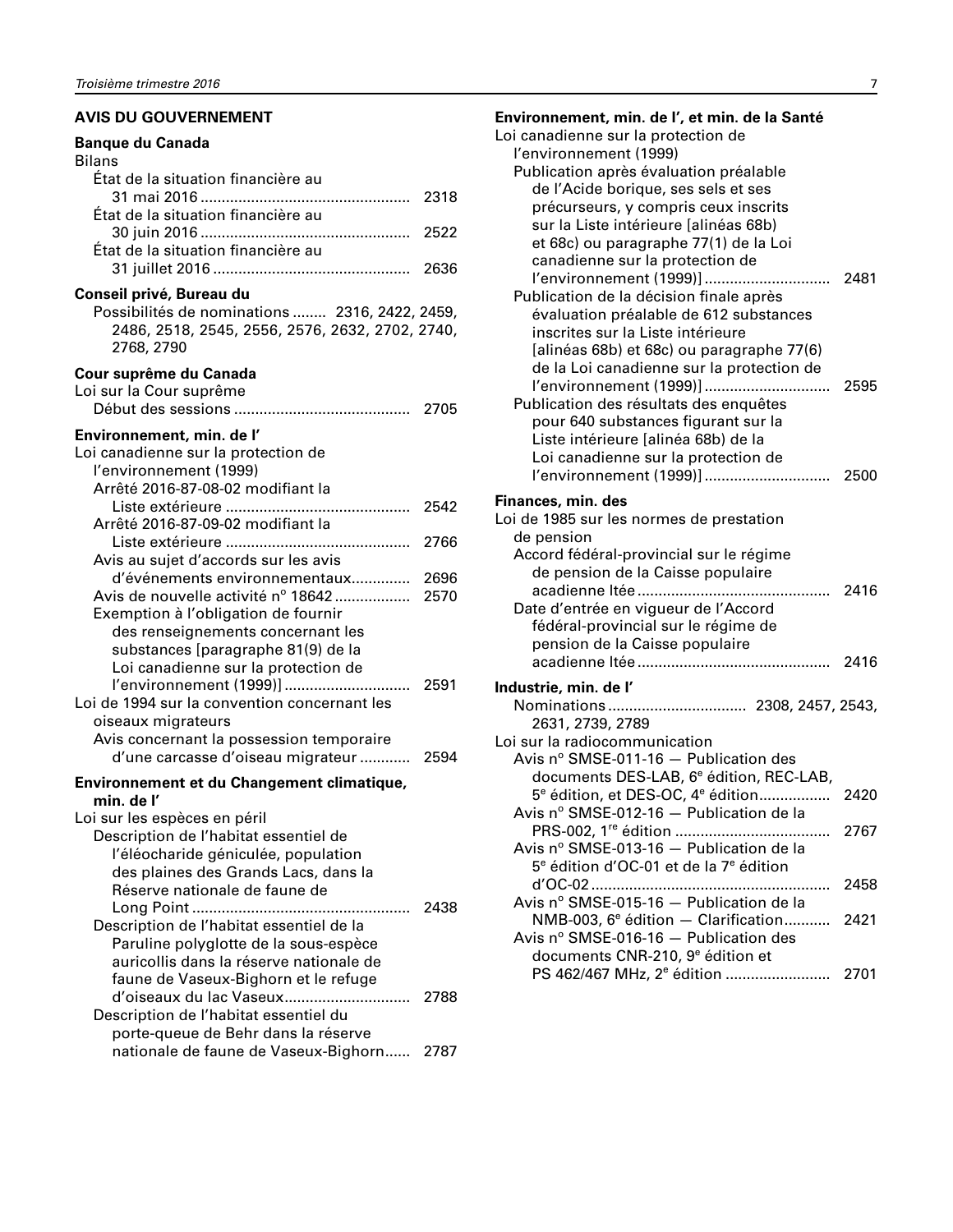#### <span id="page-8-0"></span>**AVIS DU GOUVERNEMENT**

| <b>Banque du Canada</b><br><b>Bilans</b>                                                                                                                                              |      |
|---------------------------------------------------------------------------------------------------------------------------------------------------------------------------------------|------|
| État de la situation financière au<br>État de la situation financière au                                                                                                              |      |
| État de la situation financière au                                                                                                                                                    |      |
|                                                                                                                                                                                       |      |
| Conseil privé, Bureau du<br>Possibilités de nominations  2316, 2422, 2459,<br>2486, 2518, 2545, 2556, 2576, 2632, 2702, 2740,<br>2768, 2790                                           |      |
| Cour suprême du Canada<br>Loi sur la Cour suprême                                                                                                                                     |      |
| Environnement, min. de l'<br>Loi canadienne sur la protection de<br>l'environnement (1999)<br>Arrêté 2016-87-08-02 modifiant la                                                       |      |
| Arrêté 2016-87-09-02 modifiant la                                                                                                                                                     | 2542 |
| Avis au sujet d'accords sur les avis                                                                                                                                                  | 2766 |
| d'événements environnementaux 2696<br>Avis de nouvelle activité nº 18642<br>Exemption à l'obligation de fournir                                                                       | 2570 |
| des renseignements concernant les<br>substances [paragraphe 81(9) de la<br>Loi canadienne sur la protection de                                                                        |      |
| Loi de 1994 sur la convention concernant les<br>oiseaux migrateurs<br>Avis concernant la possession temporaire                                                                        |      |
| d'une carcasse d'oiseau migrateur  2594                                                                                                                                               |      |
| Environnement et du Changement climatique,<br>min. de l'                                                                                                                              |      |
| Loi sur les espèces en péril<br>Description de l'habitat essentiel de<br>l'éléocharide géniculée, population<br>des plaines des Grands Lacs, dans la<br>Réserve nationale de faune de |      |
| Description de l'habitat essentiel de la<br>Paruline polyglotte de la sous-espèce<br>auricollis dans la réserve nationale de                                                          | 2438 |
| faune de Vaseux-Bighorn et le refuge<br>d'oiseaux du lac Vaseux<br>Description de l'habitat essentiel du<br>porte-queue de Behr dans la réserve                                       | 2788 |
| nationale de faune de Vaseux-Bighorn 2787                                                                                                                                             |      |

| Environnement, min. de l', et min. de la Santé<br>Loi canadienne sur la protection de |      |
|---------------------------------------------------------------------------------------|------|
| l'environnement (1999)                                                                |      |
| Publication après évaluation préalable                                                |      |
| de l'Acide borique, ses sels et ses                                                   |      |
| précurseurs, y compris ceux inscrits                                                  |      |
| sur la Liste intérieure [alinéas 68b)                                                 |      |
| et 68c) ou paragraphe 77(1) de la Loi                                                 |      |
| canadienne sur la protection de                                                       |      |
|                                                                                       |      |
| Publication de la décision finale après                                               |      |
| évaluation préalable de 612 substances                                                |      |
| inscrites sur la Liste intérieure                                                     |      |
| [alinéas 68b) et 68c) ou paragraphe 77(6)                                             |      |
| de la Loi canadienne sur la protection de                                             |      |
| l'environnement (1999)]                                                               | 2595 |
| Publication des résultats des enquêtes                                                |      |
| pour 640 substances figurant sur la                                                   |      |
| Liste intérieure [alinéa 68b) de la                                                   |      |
| Loi canadienne sur la protection de                                                   |      |
| l'environnement (1999)]                                                               | 2500 |
|                                                                                       |      |
| Finances, min. des                                                                    |      |
| Loi de 1985 sur les normes de prestation                                              |      |
| de pension                                                                            |      |
| Accord fédéral-provincial sur le régime                                               |      |
| de pension de la Caisse populaire                                                     |      |
|                                                                                       | 2416 |
| Date d'entrée en vigueur de l'Accord                                                  |      |
| fédéral-provincial sur le régime de                                                   |      |
| pension de la Caisse populaire                                                        | 2416 |
|                                                                                       |      |
| Industrie, min. de l'                                                                 |      |
|                                                                                       |      |
| 2631, 2739, 2789                                                                      |      |
| Loi sur la radiocommunication                                                         |      |
| Avis $n^{\circ}$ SMSE-011-16 - Publication des                                        |      |
| documents DES-LAB, 6 <sup>e</sup> édition, REC-LAB,                                   |      |
| 5 <sup>e</sup> édition, et DES-OC, 4 <sup>e</sup> édition                             | 2420 |
| Avis nº SMSE-012-16 - Publication de la                                               |      |
|                                                                                       | 2767 |
| Avis nº SMSE-013-16 - Publication de la                                               |      |
| 5 <sup>e</sup> édition d'OC-01 et de la 7 <sup>e</sup> édition                        |      |
|                                                                                       | 2458 |
| Avis nº SMSE-015-16 - Publication de la                                               |      |
| $NMB-003$ , $6^{\circ}$ édition — Clarification                                       | 2421 |
| Avis nº SMSE-016-16 - Publication des                                                 |      |
| documents CNR-210, 9 <sup>e</sup> édition et                                          |      |
|                                                                                       |      |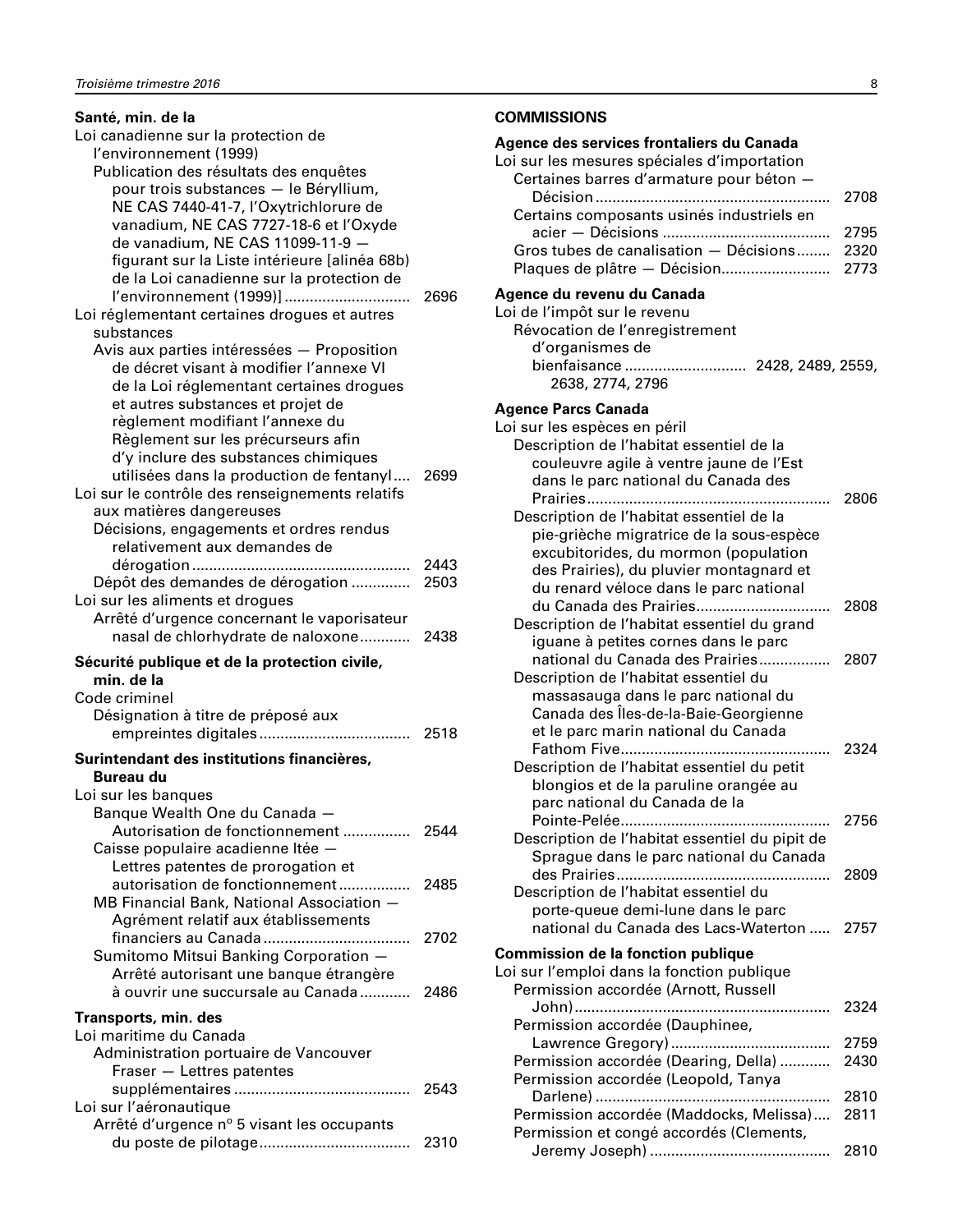<span id="page-9-0"></span>

| Santé, min. de la                               |      |
|-------------------------------------------------|------|
| Loi canadienne sur la protection de             |      |
| l'environnement (1999)                          |      |
| Publication des résultats des enquêtes          |      |
| pour trois substances - le Béryllium,           |      |
| NE CAS 7440-41-7, l'Oxytrichlorure de           |      |
| vanadium, NE CAS 7727-18-6 et l'Oxyde           |      |
| de vanadium, NE CAS 11099-11-9 -                |      |
| figurant sur la Liste intérieure [alinéa 68b)   |      |
| de la Loi canadienne sur la protection de       |      |
| l'environnement (1999)]                         | 2696 |
| Loi réglementant certaines drogues et autres    |      |
| substances                                      |      |
| Avis aux parties intéressées - Proposition      |      |
| de décret visant à modifier l'annexe VI         |      |
| de la Loi réglementant certaines drogues        |      |
| et autres substances et projet de               |      |
| règlement modifiant l'annexe du                 |      |
| Règlement sur les précurseurs afin              |      |
| d'y inclure des substances chimiques            |      |
| utilisées dans la production de fentanyl        | 2699 |
| Loi sur le contrôle des renseignements relatifs |      |
| aux matières dangereuses                        |      |
|                                                 |      |
| Décisions, engagements et ordres rendus         |      |
| relativement aux demandes de                    |      |
|                                                 | 2443 |
| Dépôt des demandes de dérogation                | 2503 |
| Loi sur les aliments et drogues                 |      |
| Arrêté d'urgence concernant le vaporisateur     |      |
| nasal de chlorhydrate de naloxone               | 2438 |
| Sécurité publique et de la protection civile,   |      |
| min. de la                                      |      |
| Code criminel                                   |      |
| Désignation à titre de préposé aux              |      |
|                                                 |      |
| Surintendant des institutions financières,      |      |
| Bureau du                                       |      |
|                                                 |      |
| Loi sur les banques                             |      |
| Banque Wealth One du Canada -                   |      |
| Autorisation de fonctionnement                  | 2544 |
| Caisse populaire acadienne Itée -               |      |
| Lettres patentes de prorogation et              |      |
| autorisation de fonctionnement                  | 2485 |
| MB Financial Bank, National Association -       |      |
| Agrément relatif aux établissements             |      |
|                                                 | 2702 |
| Sumitomo Mitsui Banking Corporation -           |      |
| Arrêté autorisant une banque étrangère          |      |
| à ouvrir une succursale au Canada               | 2486 |
| Transports, min. des                            |      |
| Loi maritime du Canada                          |      |
| Administration portuaire de Vancouver           |      |
| Fraser - Lettres patentes                       |      |
|                                                 | 2543 |
| Loi sur l'aéronautique                          |      |
| Arrêté d'urgence nº 5 visant les occupants      |      |
|                                                 | 2310 |
|                                                 |      |

#### **COMMISSIONS**

### **Agence des services frontaliers du Canada**

| Loi sur les mesures spéciales d'importation<br>Certaines barres d'armature pour béton - |      |
|-----------------------------------------------------------------------------------------|------|
|                                                                                         | 2708 |
| Certains composants usinés industriels en                                               |      |
|                                                                                         | 2795 |
| Gros tubes de canalisation - Décisions                                                  | 2320 |
| Plaques de plâtre - Décision                                                            | 2773 |
| Agence du revenu du Canada                                                              |      |
| Loi de l'impôt sur le revenu                                                            |      |
| Révocation de l'enregistrement                                                          |      |
| d'organismes de                                                                         |      |
| bienfaisance  2428, 2489, 2559,                                                         |      |
| 2638, 2774, 2796                                                                        |      |
| <b>Agence Parcs Canada</b>                                                              |      |
| Loi sur les espèces en péril                                                            |      |
| Description de l'habitat essentiel de la                                                |      |
| couleuvre agile à ventre jaune de l'Est                                                 |      |
| dans le parc national du Canada des                                                     |      |
| Description de l'habitat essentiel de la                                                | 2806 |
| pie-grièche migratrice de la sous-espèce                                                |      |
| excubitorides, du mormon (population                                                    |      |
| des Prairies), du pluvier montagnard et                                                 |      |
| du renard véloce dans le parc national                                                  |      |
| du Canada des Prairies                                                                  | 2808 |
| Description de l'habitat essentiel du grand                                             |      |
| iguane à petites cornes dans le parc                                                    |      |
| national du Canada des Prairies                                                         | 2807 |
| Description de l'habitat essentiel du                                                   |      |
| massasauga dans le parc national du                                                     |      |
| Canada des Îles-de-la-Baie-Georgienne                                                   |      |
| et le parc marin national du Canada                                                     | 2324 |
| Description de l'habitat essentiel du petit                                             |      |
| blongios et de la paruline orangée au                                                   |      |
| parc national du Canada de la                                                           |      |
|                                                                                         | 2756 |
| Description de l'habitat essentiel du pipit de                                          |      |
| Sprague dans le parc national du Canada                                                 |      |
|                                                                                         | 2809 |
| Description de l'habitat essentiel du                                                   |      |
| porte-queue demi-lune dans le parc                                                      |      |
| national du Canada des Lacs-Waterton                                                    | 2757 |
| <b>Commission de la fonction publique</b>                                               |      |
| Loi sur l'emploi dans la fonction publique                                              |      |
| Permission accordée (Arnott, Russell                                                    |      |
|                                                                                         | 2324 |
| Permission accordée (Dauphinee,                                                         | 2759 |
| Permission accordée (Dearing, Della)                                                    | 2430 |
| Permission accordée (Leopold, Tanya                                                     |      |
|                                                                                         | 2810 |
| Permission accordée (Maddocks, Melissa)                                                 | 2811 |
| Permission et congé accordés (Clements,                                                 |      |
|                                                                                         | 2810 |
|                                                                                         |      |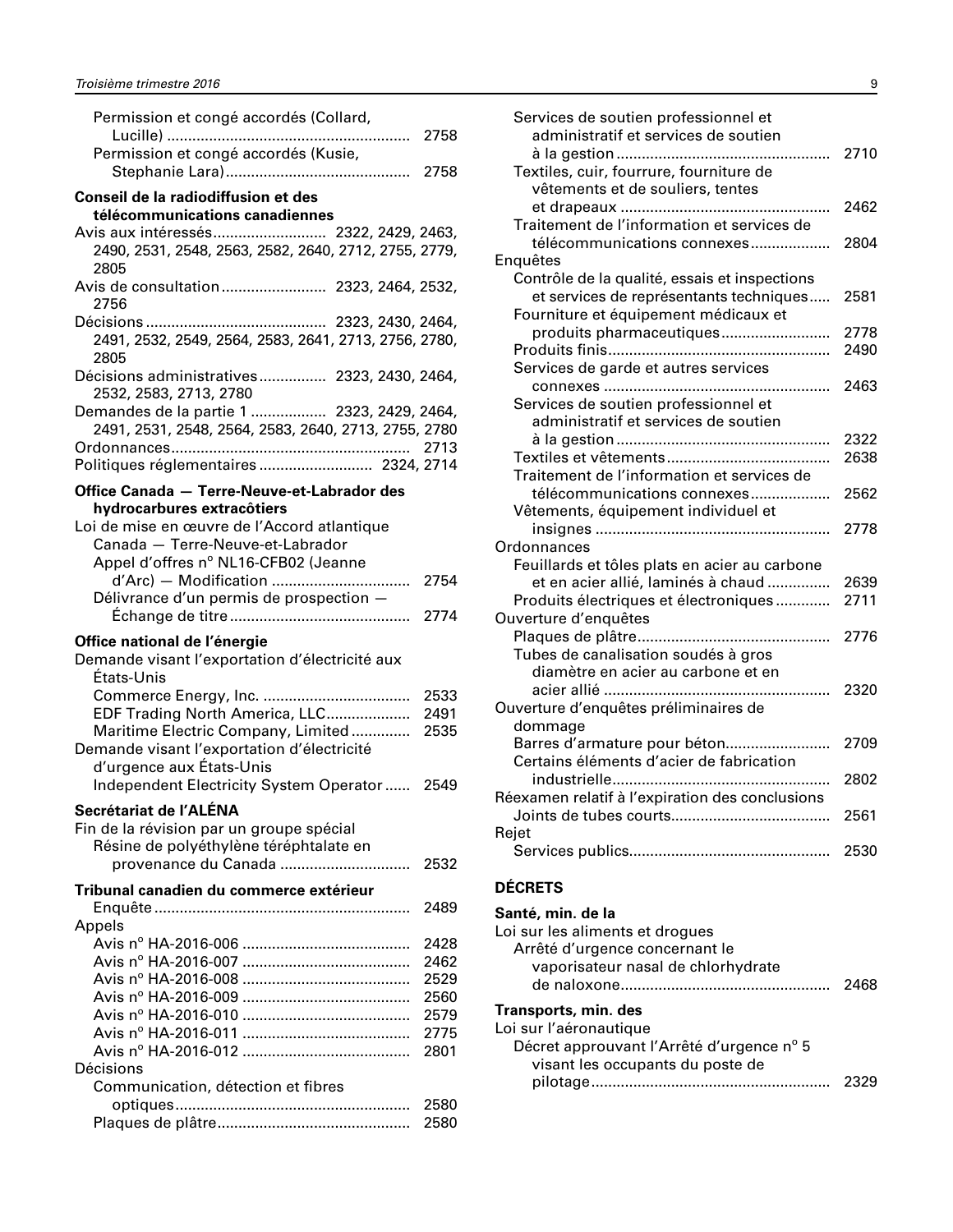<span id="page-10-0"></span>

| Permission et congé accordés (Collard,<br>.                               | 2758         |
|---------------------------------------------------------------------------|--------------|
| Permission et congé accordés (Kusie,                                      | 2758         |
| Conseil de la radiodiffusion et des                                       |              |
| télécommunications canadiennes                                            |              |
| Avis aux intéressés 2322, 2429, 2463,                                     |              |
| 2490, 2531, 2548, 2563, 2582, 2640, 2712, 2755, 2779,<br>2805             |              |
| Avis de consultation 2323, 2464, 2532,<br>2756                            |              |
|                                                                           |              |
| 2491, 2532, 2549, 2564, 2583, 2641, 2713, 2756, 2780,<br>2805             |              |
| Décisions administratives 2323, 2430, 2464,<br>2532, 2583, 2713, 2780     |              |
| Demandes de la partie 1  2323, 2429, 2464,                                |              |
| 2491, 2531, 2548, 2564, 2583, 2640, 2713, 2755, 2780                      |              |
|                                                                           |              |
| Politiques réglementaires  2324, 2714                                     |              |
| Office Canada - Terre-Neuve-et-Labrador des                               |              |
| hydrocarbures extracôtiers<br>Loi de mise en œuvre de l'Accord atlantique |              |
| Canada - Terre-Neuve-et-Labrador                                          |              |
| Appel d'offres nº NL16-CFB02 (Jeanne                                      |              |
|                                                                           | 2754         |
| Délivrance d'un permis de prospection -                                   |              |
|                                                                           | 2774         |
| Office national de l'énergie                                              |              |
| Demande visant l'exportation d'électricité aux                            |              |
| États-Unis                                                                |              |
|                                                                           | 2533         |
| EDF Trading North America, LLC                                            | 2491         |
| Maritime Electric Company, Limited                                        | 2535         |
| Demande visant l'exportation d'électricité                                |              |
|                                                                           |              |
| d'urgence aux États-Unis                                                  |              |
| Independent Electricity System Operator 2549                              |              |
| Secrétariat de l'ALÉNA                                                    |              |
| Fin de la révision par un groupe spécial                                  |              |
| Résine de polyéthylène téréphtalate en                                    |              |
| provenance du Canada                                                      | 2532         |
| Tribunal canadien du commerce extérieur                                   |              |
|                                                                           | 2489         |
| Appels                                                                    |              |
|                                                                           | 2428         |
|                                                                           | 2462         |
|                                                                           | 2529<br>2560 |
|                                                                           | 2579         |
|                                                                           | 2775         |
|                                                                           | 2801         |
| Décisions                                                                 |              |
| Communication, détection et fibres                                        |              |
|                                                                           | 2580<br>2580 |

| Services de soutien professionnel et<br>administratif et services de soutien |      |
|------------------------------------------------------------------------------|------|
|                                                                              | 2710 |
| Textiles, cuir, fourrure, fourniture de                                      |      |
| vêtements et de souliers, tentes                                             |      |
|                                                                              | 2462 |
| Traitement de l'information et services de                                   |      |
| télécommunications connexes                                                  | 2804 |
| Enquêtes                                                                     |      |
| Contrôle de la qualité, essais et inspections                                |      |
| et services de représentants techniques                                      | 2581 |
| Fourniture et équipement médicaux et                                         |      |
| produits pharmaceutiques                                                     | 2778 |
|                                                                              | 2490 |
| Services de garde et autres services                                         |      |
|                                                                              | 2463 |
| Services de soutien professionnel et                                         |      |
| administratif et services de soutien                                         |      |
|                                                                              | 2322 |
|                                                                              | 2638 |
| Traitement de l'information et services de                                   |      |
|                                                                              |      |
| télécommunications connexes                                                  | 2562 |
| Vêtements, équipement individuel et                                          |      |
|                                                                              | 2778 |
| Ordonnances                                                                  |      |
| Feuillards et tôles plats en acier au carbone                                |      |
| et en acier allié, laminés à chaud                                           | 2639 |
| Produits électriques et électroniques                                        | 2711 |
| Ouverture d'enquêtes                                                         |      |
|                                                                              | 2776 |
| Tubes de canalisation soudés à gros                                          |      |
| diamètre en acier au carbone et en                                           |      |
|                                                                              | 2320 |
| Ouverture d'enquêtes préliminaires de                                        |      |
| dommage                                                                      |      |
| Barres d'armature pour béton                                                 | 2709 |
| Certains éléments d'acier de fabrication                                     |      |
|                                                                              | 2802 |
| Réexamen relatif à l'expiration des conclusions                              |      |
|                                                                              | 2561 |
| Rejet                                                                        |      |
|                                                                              | 2530 |
|                                                                              |      |
| ÷~                                                                           |      |

#### **DÉCRETS**

| Santé, min. de la                                                             |  |
|-------------------------------------------------------------------------------|--|
| Loi sur les aliments et drogues<br>Arrêté d'urgence concernant le             |  |
| vaporisateur nasal de chlorhydrate                                            |  |
|                                                                               |  |
| Transports, min. des                                                          |  |
| Loi sur l'aéronautique                                                        |  |
| Décret approuvant l'Arrêté d'urgence n° 5<br>visant les occupants du poste de |  |
|                                                                               |  |